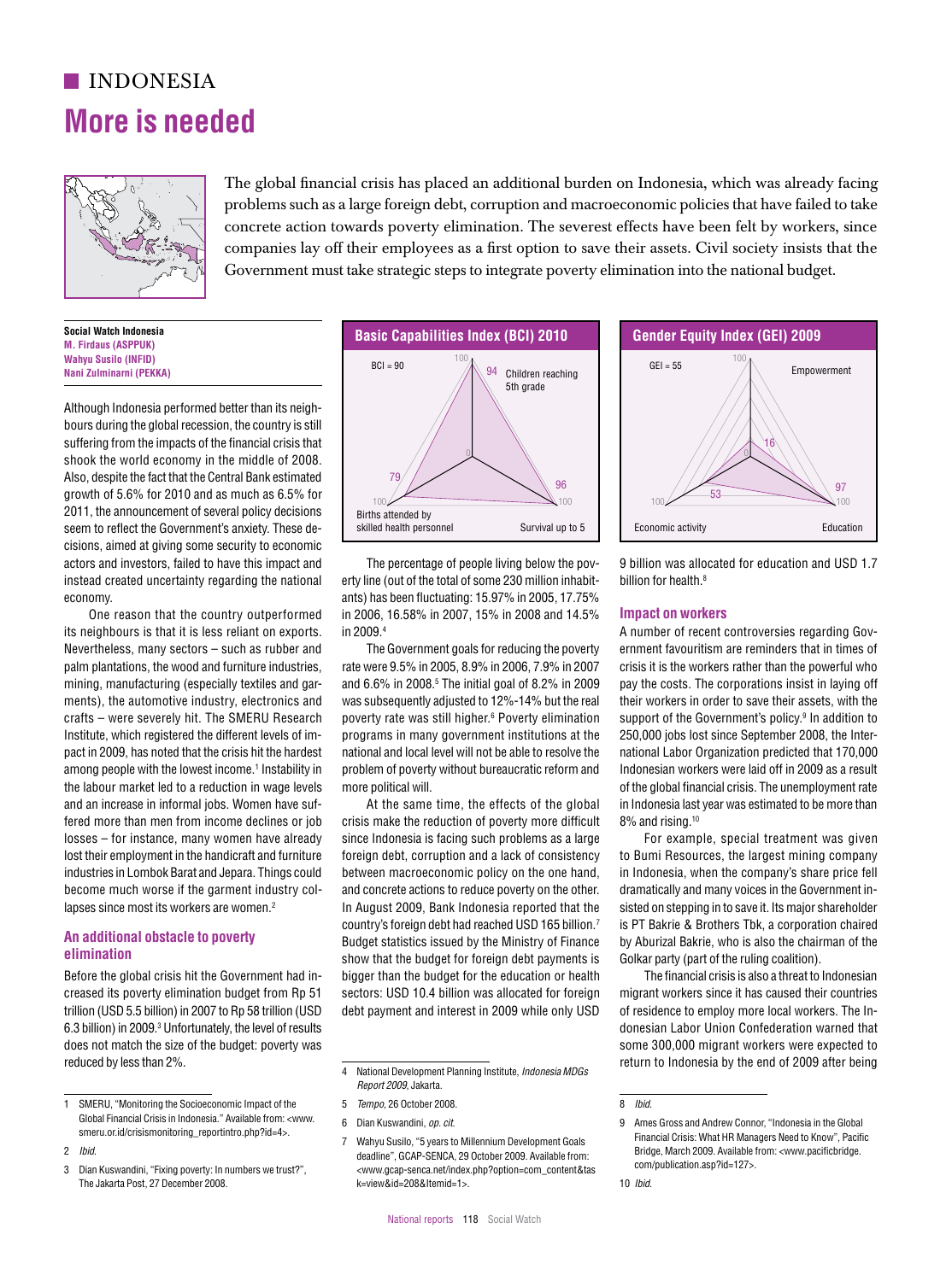# **indONESIA More is needed**



The global financial crisis has placed an additional burden on Indonesia, which was already facing problems such as a large foreign debt, corruption and macroeconomic policies that have failed to take concrete action towards poverty elimination. The severest effects have been felt by workers, since companies lay off their employees as a first option to save their assets. Civil society insists that the  $\mathbb{R}^4$  Government must take strategic steps to integrate poverty elimination into the national budget.  $\sum_{\substack{10 \le i \le r, \\ i \neq j}}$  companies as y on their employees as a msc option to save their assets. On issets, the society mission that the

> **Social Watch Indonesia M. Firdaus (ASPPUK) Wahyu Susilo (INFID) Nani Zulminarni (PEKKA)**

Although Indonesia performed better than its neighbours during the global recession, the country is still suffering from the impacts of the financial crisis that shook the world economy in the middle of 2008. Also, despite the fact that the Central Bank estimated growth of  $5.6\%$  for 2010 and as much as  $6.5\%$  for 2011, the announcement of several policy decisions seem to reflect the Government's anxiety. These decisions, aimed at giving some security to economic actors and investors, failed to have this impact and instead created uncertainty regarding the national economy. BCI of Germany states  $\frac{1}{2}$  of  $\frac{1}{2}$  of Germany  $\frac{1}{2}$  of Germanizage of Dennis biling below the nov-  $\frac{1}{2}$  Billion was allocated for education and IISD 1.7 LISIONS, ANNEU AL GIVING SOLINE SECURITY TO ECONOMIC TRANSPORT TRANSPORT TRANSPORT TRANSPORT TRANSPORT TRANSPORT  $\frac{3}{2}$   $\frac{3}{2}$   $\frac{3}{2}$   $\frac{3}{2}$   $\frac{3}{2}$   $\frac{3}{2}$   $\frac{3}{2}$   $\frac{3}{2}$   $\frac{3}{2}$   $\frac{3}{2}$   $\frac{3}{2}$   $\frac{3}{2}$   $\frac{3}{2}$   $\frac{3}{2}$   $\frac{3}{2}$   $\frac{3}{2}$   $\frac{3}{2}$   $\frac{3}{2}$   $\frac{3}{2}$   $\frac{3}{2}$   $\frac{3}{2}$   $\frac{3}{2}$ 

> One reason that the country outperformed its neighbours is that it is less reliant on exports. Nevertheless, many sectors – such as rubber and palm plantations, the wood and furniture industries, mining, manufacturing (especially textiles and garments), the automotive industry, electronics and crafts – were severely hit. The SMERU Research Institute, which registered the different levels of impact in 2009, has noted that the crisis hit the hardest among people with the lowest income.<sup>1</sup> Instability in the labour market led to a reduction in wage levels and an increase in informal jobs. Women have suffered more than men from income declines or job losses – for instance, many women have already lost their employment in the handicraft and furniture industries in Lombok Barat and Jepara. Things could become much worse if the garment industry collapses since most its workers are women.<sup>2</sup>

### **An additional obstacle to poverty elimination**

Before the global crisis hit the Government had increased its poverty elimination budget from Rp 51 trillion (USD 5.5 billion) in 2007 to Rp 58 trillion (USD 6.3 billion) in 2009.3 Unfortunately, the level of results does not match the size of the budget: poverty was reduced by less than 2%.



The percentage of people living below the poverty line (out of the total of some 230 million inhabitants) has been fluctuating: 15.97% in 2005, 17.75% in 2006, 16.58% in 2007, 15% in 2008 and 14.5% in 2009.4

The Government goals for reducing the poverty rate were 9.5% in 2005, 8.9% in 2006, 7.9% in 2007 and 6.6% in 2008.5 The initial goal of 8.2% in 2009 was subsequently adjusted to 12%-14% but the real 61 poverty rate was still higher.6 Poverty elimination programs in many government institutions at the national and local level will not be able to resolve the problem of poverty without bureaucratic reform and more political will.

.<br>At the same time, the effects of the global crisis make the reduction of poverty more difficult since Indonesia is facing such problems as a large foreign debt, corruption and a lack of consistency between macroeconomic policy on the one hand, and concrete actions to reduce poverty on the other. In August 2009, Bank Indonesia reported that the country's foreign debt had reached USD 165 billion.7 Budget statistics issued by the Ministry of Finance show that the budget for foreign debt payments is bigger than the budget for the education or health sectors: USD 10.4 billion was allocated for foreign debt payment and interest in 2009 while only USD

- 5 *Tempo,* 26 October 2008.
- 6 Dian Kuswandini, *op. cit*.
- 7 Wahyu Susilo, "5 years to Millennium Development Goals deadline", GCAP-SENCA, 29 October 2009. Available from: <www.gcap-senca.net/index.php?option=com\_content&tas k=view&id=208&Itemid=1>.



9 billion was allocated for education and USD 1.7 billion for health.8

#### **Impact on workers**

A number of recent controversies regarding Government favouritism are reminders that in times of crisis it is the workers rather than the powerful who pay the costs. The corporations insist in laying off their workers in order to save their assets, with the support of the Government's policy.<sup>9</sup> In addition to 250,000 jobs lost since September 2008, the International Labor Organization predicted that 170,000 0 9 Indonesian workers were laid off in 2009 as a result of the global financial crisis. The unemployment rate in Indonesia last year was estimated to be more than 8% and rising.10

For example, special treatment was given to Bumi Resources, the largest mining company in Indonesia, when the company's share price fell dramatically and many voices in the Government insisted on stepping in to save it. Its major shareholder is PT Bakrie & Brothers Tbk, a corporation chaired by Aburizal Bakrie, who is also the chairman of the Golkar party (part of the ruling coalition). 100 lost their employment in the handicraft and furniture foreign debt, corruption and a lack of consistency to Bumi Resources, the largest mining company ISCOLUT TO INCOLUTE THE INCOLUTE THE CONTROL OF THE CONTROL OF THE CONTROL OF THE CONTROL OF THE CONTROL OF THE CONTROL OF THE CONTROL OF THE CONTROL OF PARTICULAR CONTROL OF THE CONTROL OF PARTICULAR CONTROL OF PERSON OF

> The financial crisis is also a threat to Indonesian migrant workers since it has caused their countries of residence to employ more local workers. The Indonesian Labor Union Confederation warned that some 300,000 migrant workers were expected to return to Indonesia by the end of 2009 after being

100 100

71

<sup>1</sup> SMERU, "Monitoring the Socioeconomic Impact of the Global Financial Crisis in Indonesia." Available from: <www. smeru.or.id/crisismonitoring\_reportintro.php?id=4>.

<sup>2</sup> *Ibid*.

Dian Kuswandini, "Fixing poverty: In numbers we trust?", The Jakarta Post, 27 December 2008.

<sup>4</sup> National Development Planning Institute, *Indonesia MDGs*  <sup>99</sup> <sup>100</sup> *Report 2009*, Jakarta.  $1000, 0000, 0000$ 

<sup>8</sup> *Ibid*.

<sup>9</sup> Ames Gross and Andrew Connor, "Indonesia in the Global Financial Crisis: What HR Managers Need to Know", Pacific ), "5 years to Millennium Development Goals Financial Grisis. What HR Managers weed to Kirow", Pachic<br>Anglic From 20 October 2009, Available from: Bridge, March 2009. Available from: <www. com/publication.asp?id=127>.

<sup>10</sup> *Ibid*.